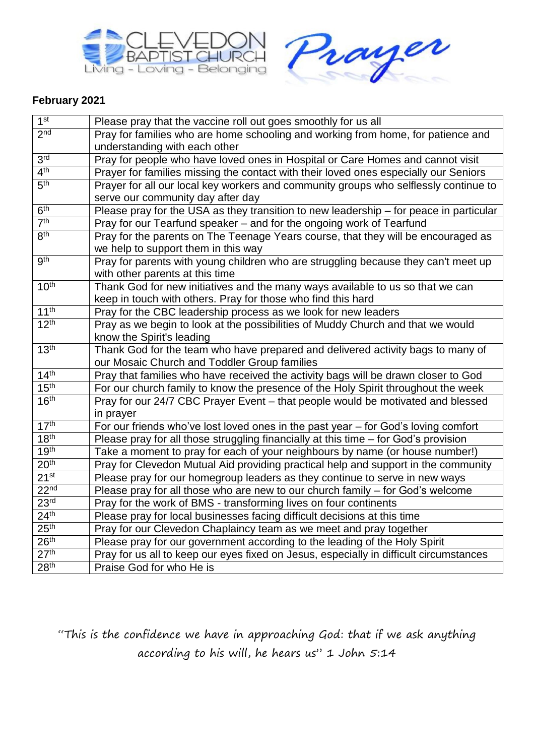



## **February 2021**

| 1 <sup>st</sup>              | Please pray that the vaccine roll out goes smoothly for us all                                                            |
|------------------------------|---------------------------------------------------------------------------------------------------------------------------|
| 2 <sub>nd</sub>              | Pray for families who are home schooling and working from home, for patience and<br>understanding with each other         |
| 3 <sup>rd</sup>              | Pray for people who have loved ones in Hospital or Care Homes and cannot visit                                            |
| 4 <sup>th</sup>              | Prayer for families missing the contact with their loved ones especially our Seniors                                      |
| 5 <sup>th</sup>              | Prayer for all our local key workers and community groups who selflessly continue to<br>serve our community day after day |
| 6 <sup>th</sup>              | Please pray for the USA as they transition to new leadership - for peace in particular                                    |
| $\overline{7}$ <sup>th</sup> | Pray for our Tearfund speaker - and for the ongoing work of Tearfund                                                      |
| 8 <sup>th</sup>              | Pray for the parents on The Teenage Years course, that they will be encouraged as                                         |
|                              | we help to support them in this way                                                                                       |
| gth                          | Pray for parents with young children who are struggling because they can't meet up                                        |
|                              | with other parents at this time                                                                                           |
| 10 <sup>th</sup>             | Thank God for new initiatives and the many ways available to us so that we can                                            |
|                              | keep in touch with others. Pray for those who find this hard                                                              |
| 11 <sup>th</sup>             | Pray for the CBC leadership process as we look for new leaders                                                            |
| 12 <sup>th</sup>             | Pray as we begin to look at the possibilities of Muddy Church and that we would                                           |
|                              | know the Spirit's leading                                                                                                 |
| 13 <sup>th</sup>             | Thank God for the team who have prepared and delivered activity bags to many of                                           |
|                              | our Mosaic Church and Toddler Group families                                                                              |
| 14 <sup>th</sup>             | Pray that families who have received the activity bags will be drawn closer to God                                        |
| 15 <sup>th</sup>             | For our church family to know the presence of the Holy Spirit throughout the week                                         |
| 16 <sup>th</sup>             | Pray for our 24/7 CBC Prayer Event - that people would be motivated and blessed                                           |
|                              | in prayer                                                                                                                 |
| 17 <sup>th</sup>             | For our friends who've lost loved ones in the past year - for God's loving comfort                                        |
| 18 <sup>th</sup>             | Please pray for all those struggling financially at this time - for God's provision                                       |
| 19 <sup>th</sup>             | Take a moment to pray for each of your neighbours by name (or house number!)                                              |
| 20 <sup>th</sup>             | Pray for Clevedon Mutual Aid providing practical help and support in the community                                        |
| 21 <sup>st</sup>             | Please pray for our homegroup leaders as they continue to serve in new ways                                               |
| 22 <sub>nd</sub>             | Please pray for all those who are new to our church family – for God's welcome                                            |
| 23 <sup>rd</sup>             | Pray for the work of BMS - transforming lives on four continents                                                          |
| 24 <sup>th</sup>             | Please pray for local businesses facing difficult decisions at this time                                                  |
| 25 <sup>th</sup>             | Pray for our Clevedon Chaplaincy team as we meet and pray together                                                        |
| 26 <sup>th</sup>             | Please pray for our government according to the leading of the Holy Spirit                                                |
| 27 <sup>th</sup>             | Pray for us all to keep our eyes fixed on Jesus, especially in difficult circumstances                                    |
| 28 <sup>th</sup>             | Praise God for who He is                                                                                                  |

"This is the confidence we have in approaching God: that if we ask anything according to his will, he hears us" 1 John 5:14